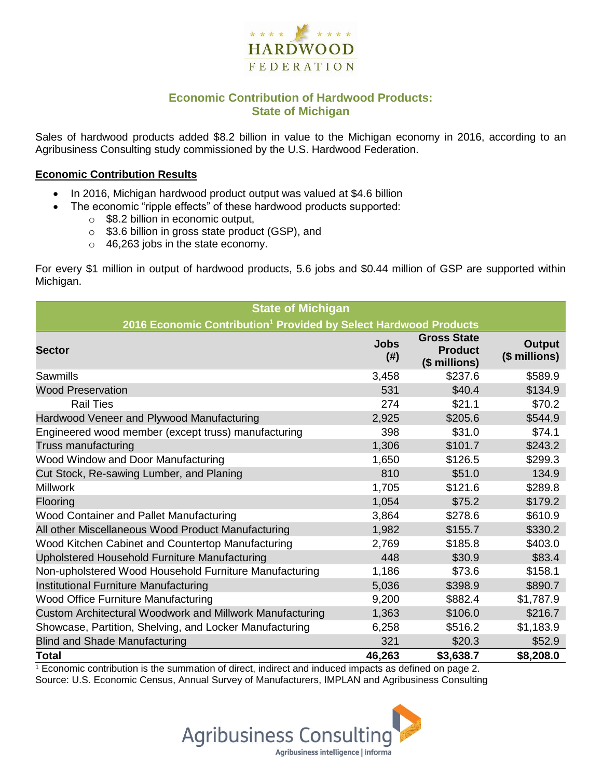

# **Economic Contribution of Hardwood Products: State of Michigan**

Sales of hardwood products added \$8.2 billion in value to the Michigan economy in 2016, according to an Agribusiness Consulting study commissioned by the U.S. Hardwood Federation.

#### **Economic Contribution Results**

- In 2016, Michigan hardwood product output was valued at \$4.6 billion
- The economic "ripple effects" of these hardwood products supported:
	- $\circ$  \$8.2 billion in economic output,
	- o \$3.6 billion in gross state product (GSP), and
	- o 46,263 jobs in the state economy.

For every \$1 million in output of hardwood products, 5.6 jobs and \$0.44 million of GSP are supported within Michigan.

| <b>State of Michigan</b>                                                     |                     |                                                       |                                |  |  |  |
|------------------------------------------------------------------------------|---------------------|-------------------------------------------------------|--------------------------------|--|--|--|
| 2016 Economic Contribution <sup>1</sup> Provided by Select Hardwood Products |                     |                                                       |                                |  |  |  |
| <b>Sector</b>                                                                | <b>Jobs</b><br>(# ) | <b>Gross State</b><br><b>Product</b><br>(\$ millions) | <b>Output</b><br>(\$ millions) |  |  |  |
| Sawmills                                                                     | 3,458               | \$237.6                                               | \$589.9                        |  |  |  |
| <b>Wood Preservation</b>                                                     | 531                 | \$40.4                                                | \$134.9                        |  |  |  |
| <b>Rail Ties</b>                                                             | 274                 | \$21.1                                                | \$70.2                         |  |  |  |
| Hardwood Veneer and Plywood Manufacturing                                    | 2,925               | \$205.6                                               | \$544.9                        |  |  |  |
| Engineered wood member (except truss) manufacturing                          | 398                 | \$31.0                                                | \$74.1                         |  |  |  |
| Truss manufacturing                                                          | 1,306               | \$101.7                                               | \$243.2                        |  |  |  |
| Wood Window and Door Manufacturing                                           | 1,650               | \$126.5                                               | \$299.3                        |  |  |  |
| Cut Stock, Re-sawing Lumber, and Planing                                     | 810                 | \$51.0                                                | 134.9                          |  |  |  |
| <b>Millwork</b>                                                              | 1,705               | \$121.6                                               | \$289.8                        |  |  |  |
| Flooring                                                                     | 1,054               | \$75.2                                                | \$179.2                        |  |  |  |
| <b>Wood Container and Pallet Manufacturing</b>                               | 3,864               | \$278.6                                               | \$610.9                        |  |  |  |
| All other Miscellaneous Wood Product Manufacturing                           | 1,982               | \$155.7                                               | \$330.2                        |  |  |  |
| Wood Kitchen Cabinet and Countertop Manufacturing                            | 2,769               | \$185.8                                               | \$403.0                        |  |  |  |
| Upholstered Household Furniture Manufacturing                                | 448                 | \$30.9                                                | \$83.4                         |  |  |  |
| Non-upholstered Wood Household Furniture Manufacturing                       | 1,186               | \$73.6                                                | \$158.1                        |  |  |  |
| Institutional Furniture Manufacturing                                        | 5,036               | \$398.9                                               | \$890.7                        |  |  |  |
| <b>Wood Office Furniture Manufacturing</b>                                   | 9,200               | \$882.4                                               | \$1,787.9                      |  |  |  |
| Custom Architectural Woodwork and Millwork Manufacturing                     | 1,363               | \$106.0                                               | \$216.7                        |  |  |  |
| Showcase, Partition, Shelving, and Locker Manufacturing                      | 6,258               | \$516.2                                               | \$1,183.9                      |  |  |  |
| <b>Blind and Shade Manufacturing</b>                                         | 321                 | \$20.3                                                | \$52.9                         |  |  |  |
| <b>Total</b>                                                                 | 46,263              | \$3,638.7                                             | \$8,208.0                      |  |  |  |

 $\frac{1}{1}$  Economic contribution is the summation of direct, indirect and induced impacts as defined on page 2. Source: U.S. Economic Census, Annual Survey of Manufacturers, IMPLAN and Agribusiness Consulting